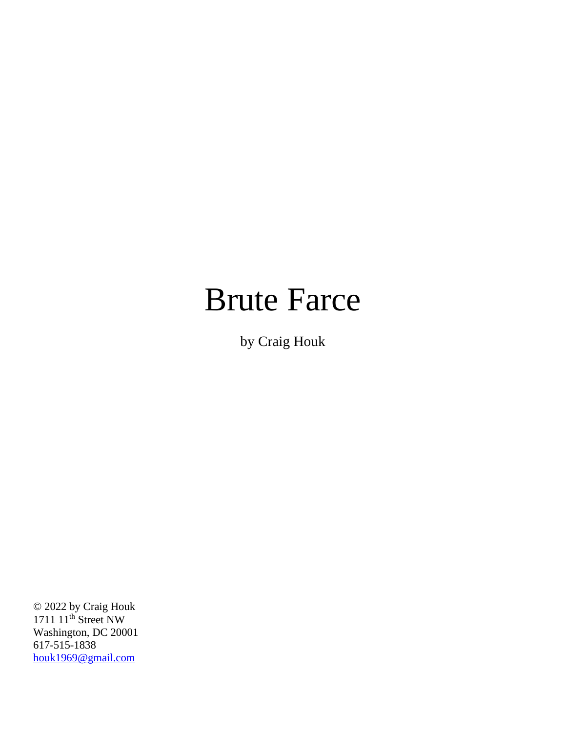# Brute Farce

by Craig Houk

© 2022 by Craig Houk 1711 11<sup>th</sup> Street NW Washington, DC 20001 617-515-1838 [houk1969@gmail.com](mailto:houk1969@gmail.com)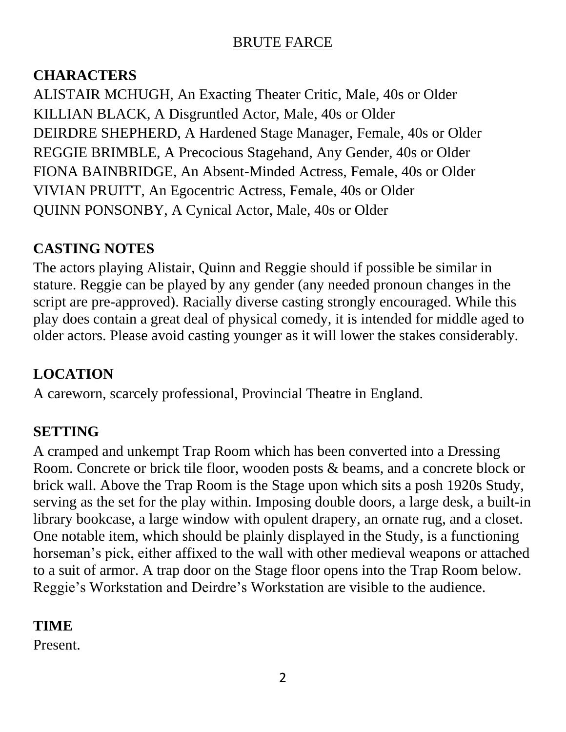#### **CHARACTERS**

ALISTAIR MCHUGH, An Exacting Theater Critic, Male, 40s or Older KILLIAN BLACK, A Disgruntled Actor, Male, 40s or Older DEIRDRE SHEPHERD, A Hardened Stage Manager, Female, 40s or Older REGGIE BRIMBLE, A Precocious Stagehand, Any Gender, 40s or Older FIONA BAINBRIDGE, An Absent-Minded Actress, Female, 40s or Older VIVIAN PRUITT, An Egocentric Actress, Female, 40s or Older QUINN PONSONBY, A Cynical Actor, Male, 40s or Older

# **CASTING NOTES**

The actors playing Alistair, Quinn and Reggie should if possible be similar in stature. Reggie can be played by any gender (any needed pronoun changes in the script are pre-approved). Racially diverse casting strongly encouraged. While this play does contain a great deal of physical comedy, it is intended for middle aged to older actors. Please avoid casting younger as it will lower the stakes considerably.

# **LOCATION**

A careworn, scarcely professional, Provincial Theatre in England.

# **SETTING**

A cramped and unkempt Trap Room which has been converted into a Dressing Room. Concrete or brick tile floor, wooden posts & beams, and a concrete block or brick wall. Above the Trap Room is the Stage upon which sits a posh 1920s Study, serving as the set for the play within. Imposing double doors, a large desk, a built-in library bookcase, a large window with opulent drapery, an ornate rug, and a closet. One notable item, which should be plainly displayed in the Study, is a functioning horseman's pick, either affixed to the wall with other medieval weapons or attached to a suit of armor. A trap door on the Stage floor opens into the Trap Room below. Reggie's Workstation and Deirdre's Workstation are visible to the audience.

#### **TIME**

Present.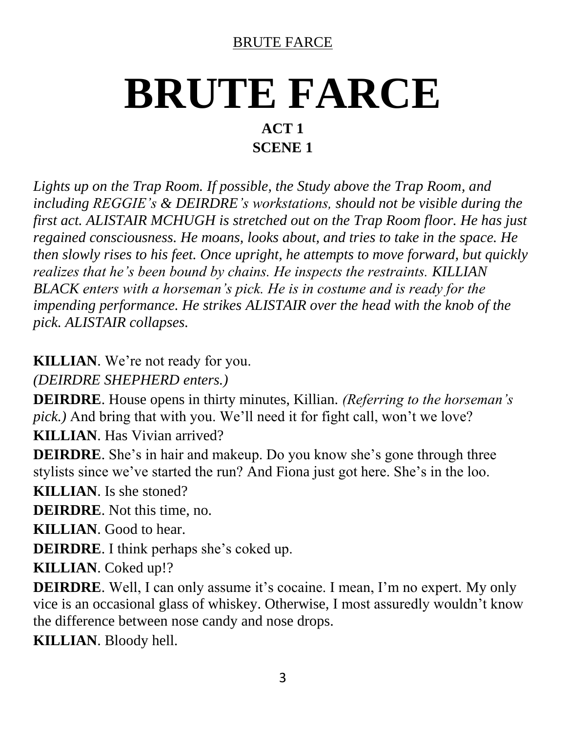# **BRUTE FARCE ACT 1 SCENE 1**

*Lights up on the Trap Room. If possible, the Study above the Trap Room, and including REGGIE's & DEIRDRE's workstations, should not be visible during the first act. ALISTAIR MCHUGH is stretched out on the Trap Room floor. He has just regained consciousness. He moans, looks about, and tries to take in the space. He then slowly rises to his feet. Once upright, he attempts to move forward, but quickly realizes that he's been bound by chains. He inspects the restraints. KILLIAN BLACK enters with a horseman's pick. He is in costume and is ready for the impending performance. He strikes ALISTAIR over the head with the knob of the pick. ALISTAIR collapses.*

**KILLIAN**. We're not ready for you.

*(DEIRDRE SHEPHERD enters.)*

**DEIRDRE**. House opens in thirty minutes, Killian. *(Referring to the horseman's pick.)* And bring that with you. We'll need it for fight call, won't we love? **KILLIAN**. Has Vivian arrived?

**DEIRDRE**. She's in hair and makeup. Do you know she's gone through three stylists since we've started the run? And Fiona just got here. She's in the loo.

**KILLIAN**. Is she stoned?

**DEIRDRE**. Not this time, no.

**KILLIAN**. Good to hear.

**DEIRDRE**. I think perhaps she's coked up.

**KILLIAN**. Coked up!?

**DEIRDRE**. Well, I can only assume it's cocaine. I mean, I'm no expert. My only vice is an occasional glass of whiskey. Otherwise, I most assuredly wouldn't know the difference between nose candy and nose drops.

**KILLIAN**. Bloody hell.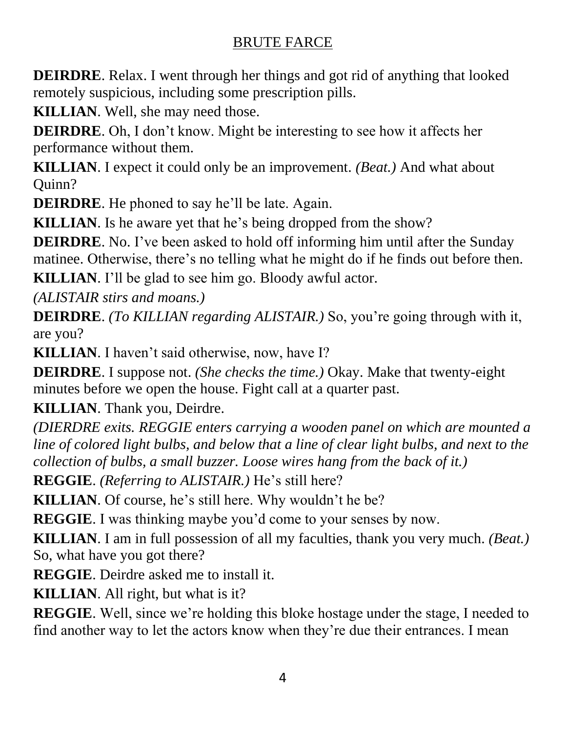**DEIRDRE**. Relax. I went through her things and got rid of anything that looked remotely suspicious, including some prescription pills.

**KILLIAN**. Well, she may need those.

**DEIRDRE**. Oh, I don't know. Might be interesting to see how it affects her performance without them.

**KILLIAN**. I expect it could only be an improvement. *(Beat.)* And what about Quinn?

**DEIRDRE**. He phoned to say he'll be late. Again.

**KILLIAN**. Is he aware yet that he's being dropped from the show?

**DEIRDRE**. No. I've been asked to hold off informing him until after the Sunday matinee. Otherwise, there's no telling what he might do if he finds out before then.

**KILLIAN**. I'll be glad to see him go. Bloody awful actor.

*(ALISTAIR stirs and moans.)*

**DEIRDRE**. *(To KILLIAN regarding ALISTAIR.)* So, you're going through with it, are you?

**KILLIAN**. I haven't said otherwise, now, have I?

**DEIRDRE**. I suppose not. *(She checks the time.)* Okay. Make that twenty-eight minutes before we open the house. Fight call at a quarter past.

**KILLIAN**. Thank you, Deirdre.

*(DIERDRE exits. REGGIE enters carrying a wooden panel on which are mounted a line of colored light bulbs, and below that a line of clear light bulbs, and next to the collection of bulbs, a small buzzer. Loose wires hang from the back of it.)*

**REGGIE**. *(Referring to ALISTAIR.)* He's still here?

**KILLIAN**. Of course, he's still here. Why wouldn't he be?

**REGGIE**. I was thinking maybe you'd come to your senses by now.

**KILLIAN**. I am in full possession of all my faculties, thank you very much. *(Beat.)* So, what have you got there?

**REGGIE**. Deirdre asked me to install it.

**KILLIAN**. All right, but what is it?

**REGGIE**. Well, since we're holding this bloke hostage under the stage, I needed to find another way to let the actors know when they're due their entrances. I mean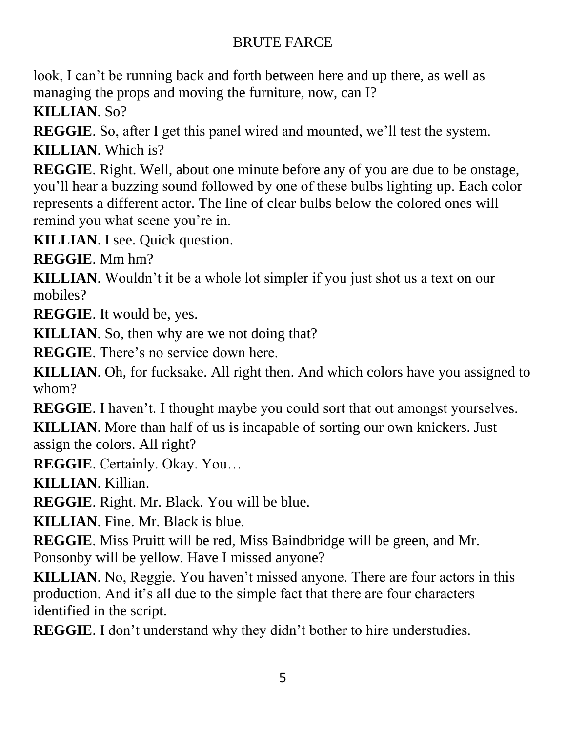look, I can't be running back and forth between here and up there, as well as managing the props and moving the furniture, now, can I?

**KILLIAN**. So?

**REGGIE**. So, after I get this panel wired and mounted, we'll test the system. **KILLIAN**. Which is?

**REGGIE**. Right. Well, about one minute before any of you are due to be onstage, you'll hear a buzzing sound followed by one of these bulbs lighting up. Each color represents a different actor. The line of clear bulbs below the colored ones will remind you what scene you're in.

**KILLIAN**. I see. Quick question.

**REGGIE**. Mm hm?

**KILLIAN**. Wouldn't it be a whole lot simpler if you just shot us a text on our mobiles?

**REGGIE**. It would be, yes.

**KILLIAN**. So, then why are we not doing that?

**REGGIE**. There's no service down here.

**KILLIAN**. Oh, for fucksake. All right then. And which colors have you assigned to whom?

**REGGIE**. I haven't. I thought maybe you could sort that out amongst yourselves.

**KILLIAN**. More than half of us is incapable of sorting our own knickers. Just assign the colors. All right?

**REGGIE**. Certainly. Okay. You…

**KILLIAN**. Killian.

**REGGIE**. Right. Mr. Black. You will be blue.

**KILLIAN**. Fine. Mr. Black is blue.

**REGGIE**. Miss Pruitt will be red, Miss Baindbridge will be green, and Mr. Ponsonby will be yellow. Have I missed anyone?

**KILLIAN**. No, Reggie. You haven't missed anyone. There are four actors in this production. And it's all due to the simple fact that there are four characters identified in the script.

**REGGIE.** I don't understand why they didn't bother to hire understudies.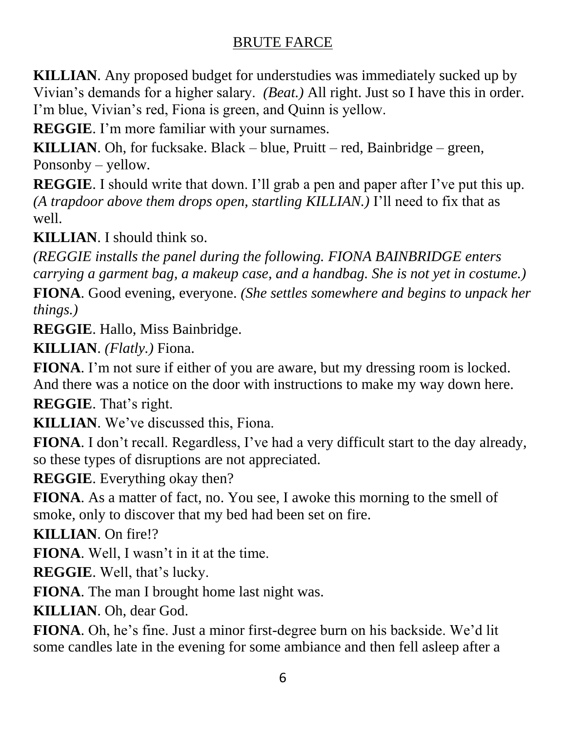**KILLIAN**. Any proposed budget for understudies was immediately sucked up by Vivian's demands for a higher salary. *(Beat.)* All right. Just so I have this in order. I'm blue, Vivian's red, Fiona is green, and Quinn is yellow.

**REGGIE**. I'm more familiar with your surnames.

**KILLIAN**. Oh, for fucksake. Black – blue, Pruitt – red, Bainbridge – green, Ponsonby – yellow.

**REGGIE**. I should write that down. I'll grab a pen and paper after I've put this up. *(A trapdoor above them drops open, startling KILLIAN.)* I'll need to fix that as well.

**KILLIAN**. I should think so.

*(REGGIE installs the panel during the following. FIONA BAINBRIDGE enters carrying a garment bag, a makeup case, and a handbag. She is not yet in costume.)*

**FIONA**. Good evening, everyone. *(She settles somewhere and begins to unpack her things.)*

**REGGIE**. Hallo, Miss Bainbridge.

**KILLIAN**. *(Flatly.)* Fiona.

**FIONA**. I'm not sure if either of you are aware, but my dressing room is locked. And there was a notice on the door with instructions to make my way down here.

**REGGIE**. That's right.

**KILLIAN**. We've discussed this, Fiona.

**FIONA**. I don't recall. Regardless, I've had a very difficult start to the day already, so these types of disruptions are not appreciated.

**REGGIE**. Everything okay then?

**FIONA**. As a matter of fact, no. You see, I awoke this morning to the smell of smoke, only to discover that my bed had been set on fire.

**KILLIAN**. On fire!?

**FIONA**. Well, I wasn't in it at the time.

**REGGIE**. Well, that's lucky.

**FIONA**. The man I brought home last night was.

**KILLIAN**. Oh, dear God.

**FIONA**. Oh, he's fine. Just a minor first-degree burn on his backside. We'd lit some candles late in the evening for some ambiance and then fell asleep after a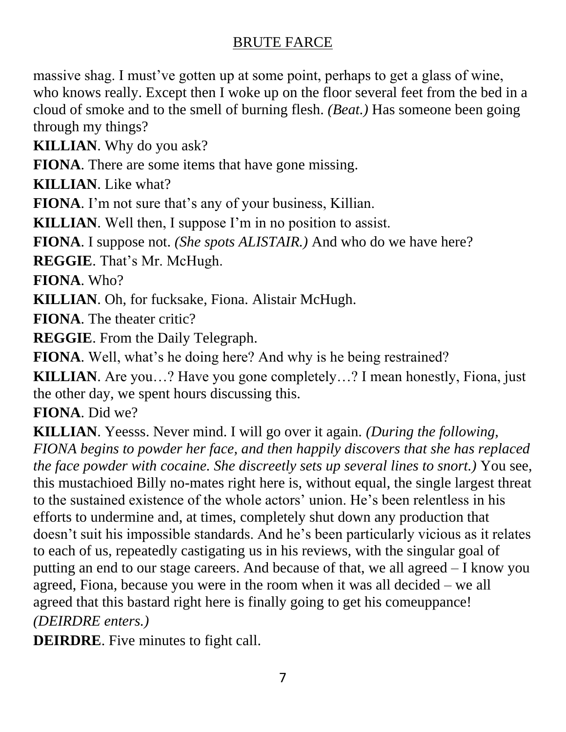massive shag. I must've gotten up at some point, perhaps to get a glass of wine, who knows really. Except then I woke up on the floor several feet from the bed in a cloud of smoke and to the smell of burning flesh. *(Beat.)* Has someone been going through my things?

**KILLIAN**. Why do you ask?

**FIONA**. There are some items that have gone missing.

**KILLIAN**. Like what?

**FIONA**. I'm not sure that's any of your business, Killian.

**KILLIAN**. Well then, I suppose I'm in no position to assist.

**FIONA**. I suppose not. *(She spots ALISTAIR.)* And who do we have here?

**REGGIE**. That's Mr. McHugh.

**FIONA**. Who?

**KILLIAN**. Oh, for fucksake, Fiona. Alistair McHugh.

**FIONA**. The theater critic?

**REGGIE**. From the Daily Telegraph.

**FIONA**. Well, what's he doing here? And why is he being restrained?

**KILLIAN**. Are you…? Have you gone completely…? I mean honestly, Fiona, just the other day, we spent hours discussing this.

**FIONA**. Did we?

**KILLIAN**. Yeesss. Never mind. I will go over it again. *(During the following, FIONA begins to powder her face, and then happily discovers that she has replaced the face powder with cocaine. She discreetly sets up several lines to snort.)* You see, this mustachioed Billy no-mates right here is, without equal, the single largest threat to the sustained existence of the whole actors' union. He's been relentless in his efforts to undermine and, at times, completely shut down any production that doesn't suit his impossible standards. And he's been particularly vicious as it relates to each of us, repeatedly castigating us in his reviews, with the singular goal of putting an end to our stage careers. And because of that, we all agreed – I know you agreed, Fiona, because you were in the room when it was all decided – we all agreed that this bastard right here is finally going to get his comeuppance! *(DEIRDRE enters.)*

**DEIRDRE**. Five minutes to fight call.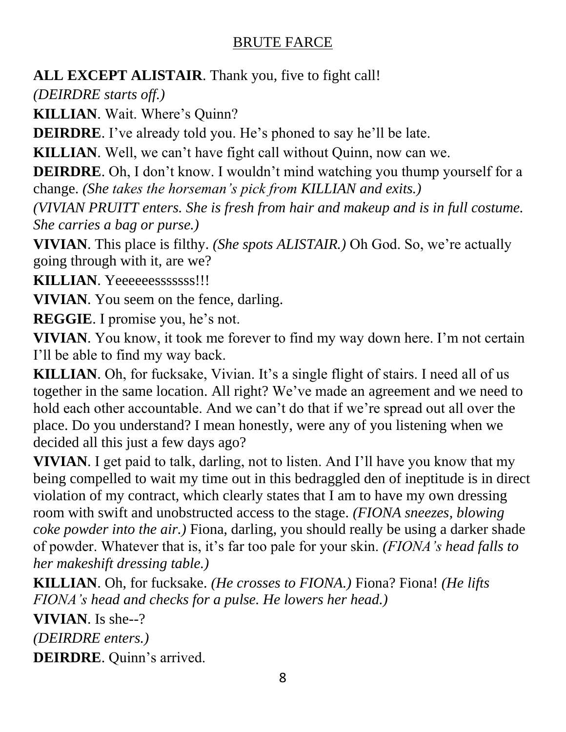**ALL EXCEPT ALISTAIR**. Thank you, five to fight call!

*(DEIRDRE starts off.)*

**KILLIAN**. Wait. Where's Quinn?

**DEIRDRE**. I've already told you. He's phoned to say he'll be late.

**KILLIAN**. Well, we can't have fight call without Quinn, now can we.

**DEIRDRE**. Oh, I don't know. I wouldn't mind watching you thump yourself for a change. *(She takes the horseman's pick from KILLIAN and exits.)*

*(VIVIAN PRUITT enters. She is fresh from hair and makeup and is in full costume. She carries a bag or purse.)*

**VIVIAN**. This place is filthy. *(She spots ALISTAIR.)* Oh God. So, we're actually going through with it, are we?

**KILLIAN**. Yeeeeeesssssss!!!

**VIVIAN**. You seem on the fence, darling.

**REGGIE**. I promise you, he's not.

**VIVIAN**. You know, it took me forever to find my way down here. I'm not certain I'll be able to find my way back.

**KILLIAN**. Oh, for fucksake, Vivian. It's a single flight of stairs. I need all of us together in the same location. All right? We've made an agreement and we need to hold each other accountable. And we can't do that if we're spread out all over the place. Do you understand? I mean honestly, were any of you listening when we decided all this just a few days ago?

**VIVIAN**. I get paid to talk, darling, not to listen. And I'll have you know that my being compelled to wait my time out in this bedraggled den of ineptitude is in direct violation of my contract, which clearly states that I am to have my own dressing room with swift and unobstructed access to the stage. *(FIONA sneezes, blowing coke powder into the air.)* Fiona, darling, you should really be using a darker shade of powder. Whatever that is, it's far too pale for your skin. *(FIONA's head falls to her makeshift dressing table.)*

**KILLIAN**. Oh, for fucksake. *(He crosses to FIONA.)* Fiona? Fiona! *(He lifts FIONA's head and checks for a pulse. He lowers her head.)*

**VIVIAN**. Is she--?

*(DEIRDRE enters.)*

**DEIRDRE**. Quinn's arrived.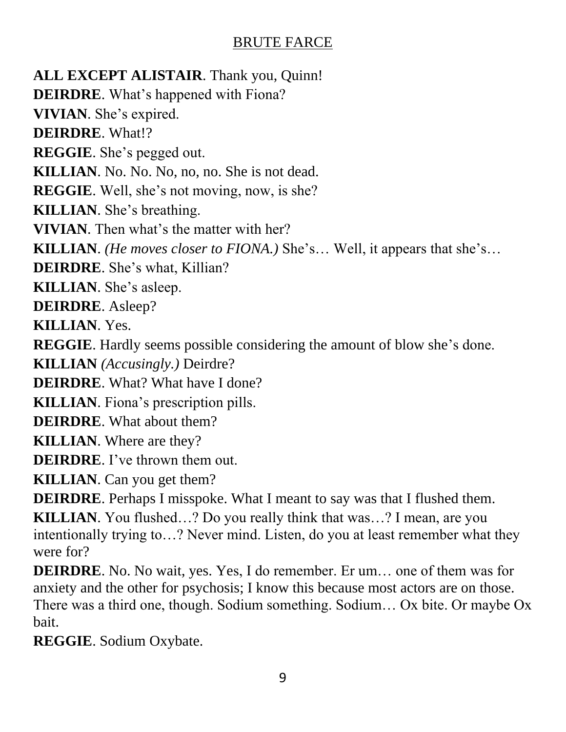**ALL EXCEPT ALISTAIR**. Thank you, Quinn! **DEIRDRE**. What's happened with Fiona? **VIVIAN**. She's expired. **DEIRDRE**. What!? **REGGIE**. She's pegged out. **KILLIAN**. No. No. No, no, no. She is not dead. **REGGIE**. Well, she's not moving, now, is she? **KILLIAN**. She's breathing. **VIVIAN**. Then what's the matter with her? **KILLIAN**. *(He moves closer to FIONA.)* She's… Well, it appears that she's… **DEIRDRE**. She's what, Killian? **KILLIAN**. She's asleep. **DEIRDRE**. Asleep? **KILLIAN**. Yes. **REGGIE**. Hardly seems possible considering the amount of blow she's done. **KILLIAN** *(Accusingly.)* Deirdre? **DEIRDRE**. What? What have I done? **KILLIAN**. Fiona's prescription pills. **DEIRDRE**. What about them? **KILLIAN**. Where are they? **DEIRDRE**. I've thrown them out. **KILLIAN**. Can you get them? **DEIRDRE**. Perhaps I misspoke. What I meant to say was that I flushed them. **KILLIAN**. You flushed…? Do you really think that was…? I mean, are you intentionally trying to…? Never mind. Listen, do you at least remember what they were for?

**DEIRDRE**. No. No wait, yes. Yes, I do remember. Er um… one of them was for anxiety and the other for psychosis; I know this because most actors are on those. There was a third one, though. Sodium something. Sodium… Ox bite. Or maybe Ox bait.

**REGGIE**. Sodium Oxybate.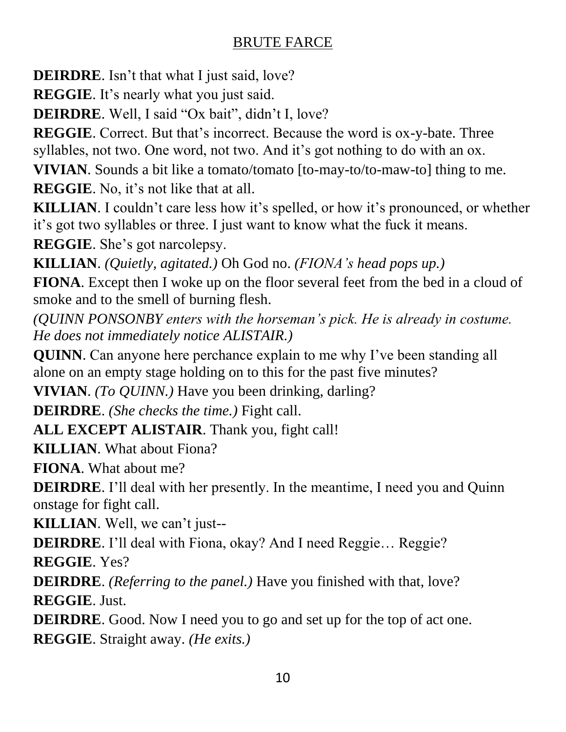**DEIRDRE**. Isn't that what I just said, love?

**REGGIE**. It's nearly what you just said.

**DEIRDRE**. Well, I said "Ox bait", didn't I, love?

**REGGIE**. Correct. But that's incorrect. Because the word is ox-y-bate. Three syllables, not two. One word, not two. And it's got nothing to do with an ox.

**VIVIAN**. Sounds a bit like a tomato/tomato [to-may-to/to-maw-to] thing to me.

**REGGIE**. No, it's not like that at all.

**KILLIAN**. I couldn't care less how it's spelled, or how it's pronounced, or whether it's got two syllables or three. I just want to know what the fuck it means.

**REGGIE**. She's got narcolepsy.

**KILLIAN**. *(Quietly, agitated.)* Oh God no. *(FIONA's head pops up.)*

**FIONA**. Except then I woke up on the floor several feet from the bed in a cloud of smoke and to the smell of burning flesh.

*(QUINN PONSONBY enters with the horseman's pick. He is already in costume. He does not immediately notice ALISTAIR.)*

**QUINN**. Can anyone here perchance explain to me why I've been standing all alone on an empty stage holding on to this for the past five minutes?

**VIVIAN**. *(To QUINN.)* Have you been drinking, darling?

**DEIRDRE**. *(She checks the time.)* Fight call.

**ALL EXCEPT ALISTAIR**. Thank you, fight call!

**KILLIAN**. What about Fiona?

**FIONA**. What about me?

**DEIRDRE**. I'll deal with her presently. In the meantime, I need you and Quinn onstage for fight call.

**KILLIAN**. Well, we can't just--

**DEIRDRE**. I'll deal with Fiona, okay? And I need Reggie... Reggie?

**REGGIE**. Yes?

**DEIRDRE**. *(Referring to the panel.)* Have you finished with that, love? **REGGIE**. Just.

**DEIRDRE**. Good. Now I need you to go and set up for the top of act one. **REGGIE**. Straight away. *(He exits.)*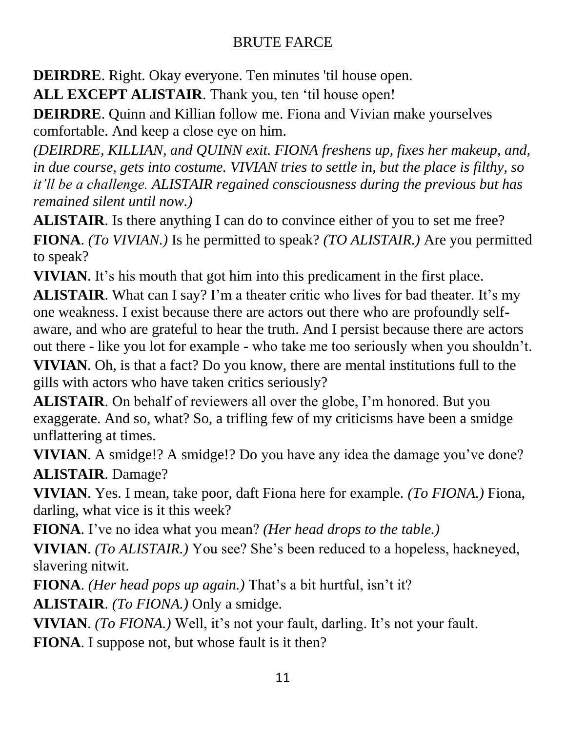**DEIRDRE**. Right. Okay everyone. Ten minutes 'til house open.

**ALL EXCEPT ALISTAIR**. Thank you, ten 'til house open!

**DEIRDRE**. Quinn and Killian follow me. Fiona and Vivian make yourselves comfortable. And keep a close eye on him.

*(DEIRDRE, KILLIAN, and QUINN exit. FIONA freshens up, fixes her makeup, and, in due course, gets into costume. VIVIAN tries to settle in, but the place is filthy, so it'll be a challenge. ALISTAIR regained consciousness during the previous but has remained silent until now.)*

**ALISTAIR**. Is there anything I can do to convince either of you to set me free? **FIONA**. *(To VIVIAN.)* Is he permitted to speak? *(TO ALISTAIR.)* Are you permitted to speak?

**VIVIAN**. It's his mouth that got him into this predicament in the first place.

**ALISTAIR**. What can I say? I'm a theater critic who lives for bad theater. It's my one weakness. I exist because there are actors out there who are profoundly selfaware, and who are grateful to hear the truth. And I persist because there are actors out there - like you lot for example - who take me too seriously when you shouldn't.

**VIVIAN**. Oh, is that a fact? Do you know, there are mental institutions full to the gills with actors who have taken critics seriously?

**ALISTAIR**. On behalf of reviewers all over the globe, I'm honored. But you exaggerate. And so, what? So, a trifling few of my criticisms have been a smidge unflattering at times.

**VIVIAN.** A smidge!? A smidge!? Do you have any idea the damage you've done? **ALISTAIR**. Damage?

**VIVIAN**. Yes. I mean, take poor, daft Fiona here for example. *(To FIONA.)* Fiona, darling, what vice is it this week?

**FIONA**. I've no idea what you mean? *(Her head drops to the table.)*

**VIVIAN**. *(To ALISTAIR.)* You see? She's been reduced to a hopeless, hackneyed, slavering nitwit.

**FIONA**. *(Her head pops up again.)* That's a bit hurtful, isn't it?

**ALISTAIR**. *(To FIONA.)* Only a smidge.

**VIVIAN**. *(To FIONA.)* Well, it's not your fault, darling. It's not your fault.

**FIONA**. I suppose not, but whose fault is it then?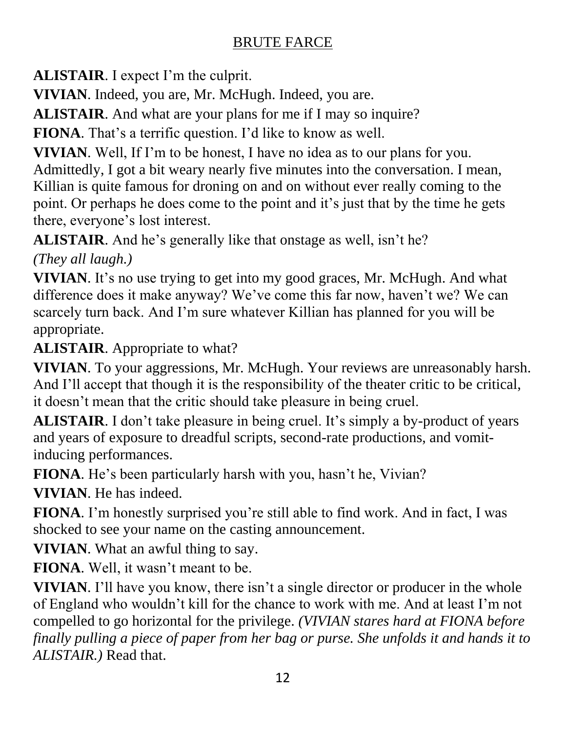**ALISTAIR**. I expect I'm the culprit.

**VIVIAN**. Indeed, you are, Mr. McHugh. Indeed, you are.

**ALISTAIR**. And what are your plans for me if I may so inquire?

**FIONA**. That's a terrific question. I'd like to know as well.

**VIVIAN**. Well, If I'm to be honest, I have no idea as to our plans for you. Admittedly, I got a bit weary nearly five minutes into the conversation. I mean, Killian is quite famous for droning on and on without ever really coming to the point. Or perhaps he does come to the point and it's just that by the time he gets there, everyone's lost interest.

**ALISTAIR**. And he's generally like that onstage as well, isn't he?

*(They all laugh.)*

**VIVIAN**. It's no use trying to get into my good graces, Mr. McHugh. And what difference does it make anyway? We've come this far now, haven't we? We can scarcely turn back. And I'm sure whatever Killian has planned for you will be appropriate.

**ALISTAIR**. Appropriate to what?

**VIVIAN**. To your aggressions, Mr. McHugh. Your reviews are unreasonably harsh. And I'll accept that though it is the responsibility of the theater critic to be critical, it doesn't mean that the critic should take pleasure in being cruel.

**ALISTAIR**. I don't take pleasure in being cruel. It's simply a by-product of years and years of exposure to dreadful scripts, second-rate productions, and vomitinducing performances.

**FIONA**. He's been particularly harsh with you, hasn't he, Vivian?

**VIVIAN**. He has indeed.

**FIONA**. I'm honestly surprised you're still able to find work. And in fact, I was shocked to see your name on the casting announcement.

**VIVIAN**. What an awful thing to say.

**FIONA**. Well, it wasn't meant to be.

**VIVIAN**. I'll have you know, there isn't a single director or producer in the whole of England who wouldn't kill for the chance to work with me. And at least I'm not compelled to go horizontal for the privilege. *(VIVIAN stares hard at FIONA before finally pulling a piece of paper from her bag or purse. She unfolds it and hands it to ALISTAIR.)* Read that.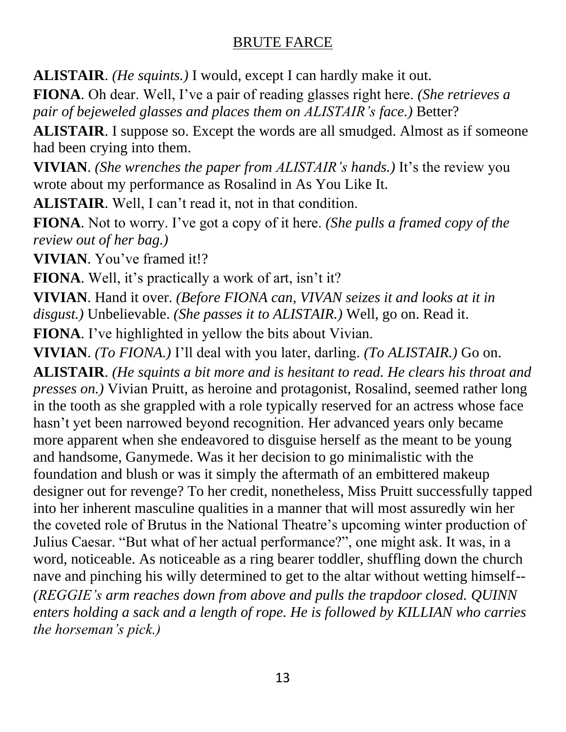**ALISTAIR**. *(He squints.)* I would, except I can hardly make it out.

**FIONA**. Oh dear. Well, I've a pair of reading glasses right here. *(She retrieves a pair of bejeweled glasses and places them on ALISTAIR's face.)* Better?

**ALISTAIR**. I suppose so. Except the words are all smudged. Almost as if someone had been crying into them.

**VIVIAN**. *(She wrenches the paper from ALISTAIR's hands.)* It's the review you wrote about my performance as Rosalind in As You Like It.

**ALISTAIR**. Well, I can't read it, not in that condition.

**FIONA**. Not to worry. I've got a copy of it here. *(She pulls a framed copy of the review out of her bag.)*

**VIVIAN**. You've framed it!?

**FIONA**. Well, it's practically a work of art, isn't it?

**VIVIAN**. Hand it over. *(Before FIONA can, VIVAN seizes it and looks at it in disgust.)* Unbelievable. *(She passes it to ALISTAIR.)* Well, go on. Read it.

**FIONA**. I've highlighted in yellow the bits about Vivian.

**VIVIAN**. *(To FIONA.)* I'll deal with you later, darling. *(To ALISTAIR.)* Go on.

**ALISTAIR**. *(He squints a bit more and is hesitant to read. He clears his throat and presses on.)* Vivian Pruitt, as heroine and protagonist, Rosalind, seemed rather long in the tooth as she grappled with a role typically reserved for an actress whose face hasn't yet been narrowed beyond recognition. Her advanced years only became more apparent when she endeavored to disguise herself as the meant to be young and handsome, Ganymede. Was it her decision to go minimalistic with the foundation and blush or was it simply the aftermath of an embittered makeup designer out for revenge? To her credit, nonetheless, Miss Pruitt successfully tapped into her inherent masculine qualities in a manner that will most assuredly win her the coveted role of Brutus in the National Theatre's upcoming winter production of Julius Caesar. "But what of her actual performance?", one might ask. It was, in a word, noticeable. As noticeable as a ring bearer toddler, shuffling down the church nave and pinching his willy determined to get to the altar without wetting himself-- *(REGGIE's arm reaches down from above and pulls the trapdoor closed. QUINN enters holding a sack and a length of rope. He is followed by KILLIAN who carries the horseman's pick.)*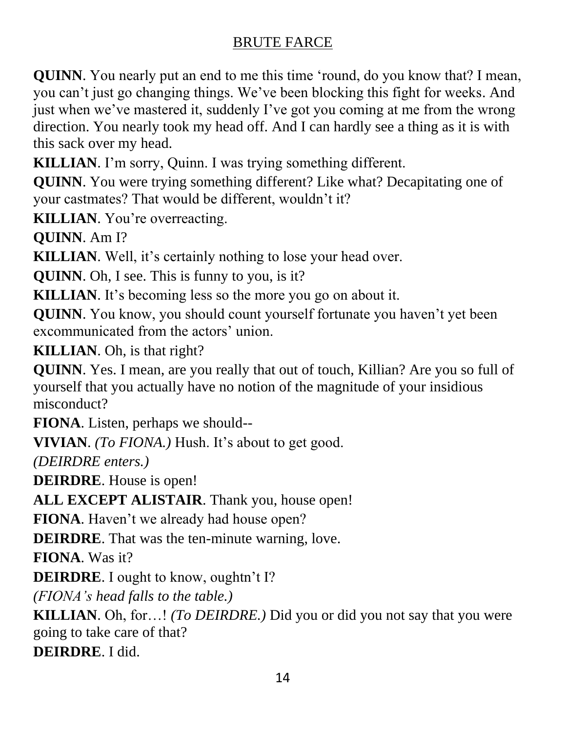**QUINN**. You nearly put an end to me this time 'round, do you know that? I mean, you can't just go changing things. We've been blocking this fight for weeks. And just when we've mastered it, suddenly I've got you coming at me from the wrong direction. You nearly took my head off. And I can hardly see a thing as it is with this sack over my head.

**KILLIAN**. I'm sorry, Quinn. I was trying something different.

**QUINN**. You were trying something different? Like what? Decapitating one of your castmates? That would be different, wouldn't it?

**KILLIAN**. You're overreacting.

**QUINN**. Am I?

**KILLIAN**. Well, it's certainly nothing to lose your head over.

**QUINN**. Oh, I see. This is funny to you, is it?

**KILLIAN**. It's becoming less so the more you go on about it.

**QUINN**. You know, you should count yourself fortunate you haven't yet been excommunicated from the actors' union.

**KILLIAN**. Oh, is that right?

**QUINN**. Yes. I mean, are you really that out of touch, Killian? Are you so full of yourself that you actually have no notion of the magnitude of your insidious misconduct?

**FIONA**. Listen, perhaps we should--

**VIVIAN**. *(To FIONA.)* Hush. It's about to get good.

*(DEIRDRE enters.)*

**DEIRDRE**. House is open!

**ALL EXCEPT ALISTAIR**. Thank you, house open!

**FIONA**. Haven't we already had house open?

**DEIRDRE**. That was the ten-minute warning, love.

**FIONA**. Was it?

**DEIRDRE**. I ought to know, oughtn't I?

*(FIONA's head falls to the table.)*

**KILLIAN**. Oh, for…! *(To DEIRDRE.)* Did you or did you not say that you were going to take care of that?

**DEIRDRE**. I did.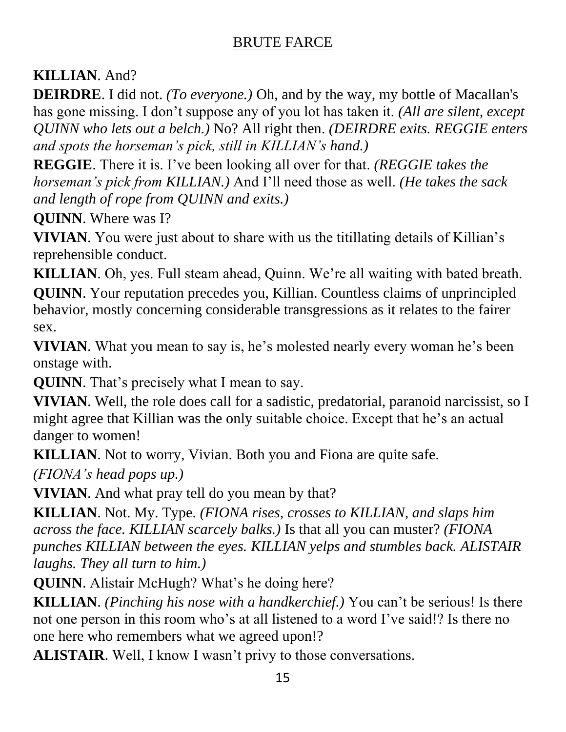# **KILLIAN**. And?

**DEIRDRE**. I did not. *(To everyone.)* Oh, and by the way, my bottle of Macallan's has gone missing. I don't suppose any of you lot has taken it. *(All are silent, except QUINN who lets out a belch.)* No? All right then. *(DEIRDRE exits. REGGIE enters and spots the horseman's pick, still in KILLIAN's hand.)*

**REGGIE**. There it is. I've been looking all over for that. *(REGGIE takes the horseman's pick from KILLIAN.)* And I'll need those as well. *(He takes the sack and length of rope from QUINN and exits.)*

**QUINN**. Where was I?

**VIVIAN**. You were just about to share with us the titillating details of Killian's reprehensible conduct.

**KILLIAN**. Oh, yes. Full steam ahead, Quinn. We're all waiting with bated breath. **QUINN**. Your reputation precedes you, Killian. Countless claims of unprincipled behavior, mostly concerning considerable transgressions as it relates to the fairer sex.

**VIVIAN**. What you mean to say is, he's molested nearly every woman he's been onstage with.

**QUINN**. That's precisely what I mean to say.

**VIVIAN**. Well, the role does call for a sadistic, predatorial, paranoid narcissist, so I might agree that Killian was the only suitable choice. Except that he's an actual danger to women!

**KILLIAN**. Not to worry, Vivian. Both you and Fiona are quite safe.

*(FIONA's head pops up.)*

**VIVIAN**. And what pray tell do you mean by that?

**KILLIAN**. Not. My. Type. *(FIONA rises, crosses to KILLIAN, and slaps him across the face. KILLIAN scarcely balks.)* Is that all you can muster? *(FIONA punches KILLIAN between the eyes. KILLIAN yelps and stumbles back. ALISTAIR laughs. They all turn to him.)* 

**QUINN**. Alistair McHugh? What's he doing here?

**KILLIAN**. *(Pinching his nose with a handkerchief.)* You can't be serious! Is there not one person in this room who's at all listened to a word I've said!? Is there no one here who remembers what we agreed upon!?

**ALISTAIR**. Well, I know I wasn't privy to those conversations.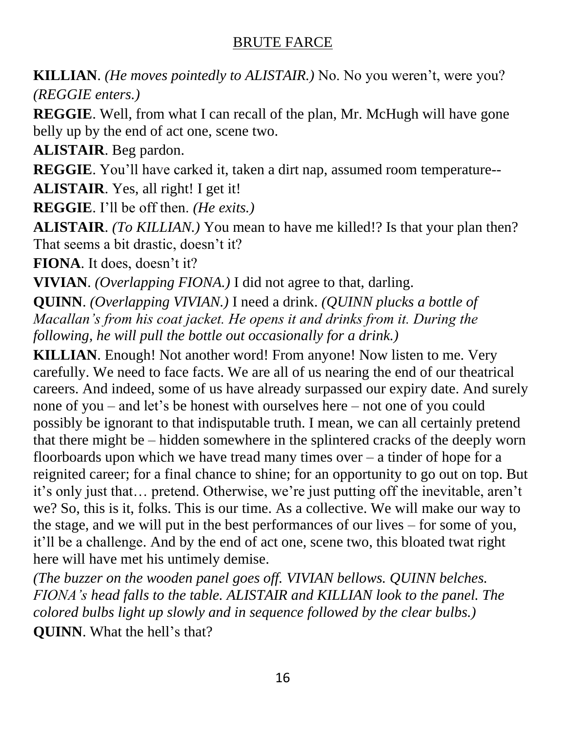**KILLIAN**. *(He moves pointedly to ALISTAIR.)* No. No you weren't, were you? *(REGGIE enters.)*

**REGGIE.** Well, from what I can recall of the plan, Mr. McHugh will have gone belly up by the end of act one, scene two.

**ALISTAIR**. Beg pardon.

**REGGIE**. You'll have carked it, taken a dirt nap, assumed room temperature--

**ALISTAIR**. Yes, all right! I get it!

**REGGIE**. I'll be off then. *(He exits.)*

**ALISTAIR**. *(To KILLIAN.)* You mean to have me killed!? Is that your plan then? That seems a bit drastic, doesn't it?

**FIONA**. It does, doesn't it?

**VIVIAN**. *(Overlapping FIONA.)* I did not agree to that, darling.

**QUINN**. *(Overlapping VIVIAN.)* I need a drink. *(QUINN plucks a bottle of Macallan's from his coat jacket. He opens it and drinks from it. During the following, he will pull the bottle out occasionally for a drink.)*

**KILLIAN**. Enough! Not another word! From anyone! Now listen to me. Very carefully. We need to face facts. We are all of us nearing the end of our theatrical careers. And indeed, some of us have already surpassed our expiry date. And surely none of you – and let's be honest with ourselves here – not one of you could possibly be ignorant to that indisputable truth. I mean, we can all certainly pretend that there might be – hidden somewhere in the splintered cracks of the deeply worn floorboards upon which we have tread many times over  $-$  a tinder of hope for a reignited career; for a final chance to shine; for an opportunity to go out on top. But it's only just that… pretend. Otherwise, we're just putting off the inevitable, aren't we? So, this is it, folks. This is our time. As a collective. We will make our way to the stage, and we will put in the best performances of our lives – for some of you, it'll be a challenge. And by the end of act one, scene two, this bloated twat right here will have met his untimely demise.

*(The buzzer on the wooden panel goes off. VIVIAN bellows. QUINN belches. FIONA's head falls to the table. ALISTAIR and KILLIAN look to the panel. The colored bulbs light up slowly and in sequence followed by the clear bulbs.)*  **QUINN**. What the hell's that?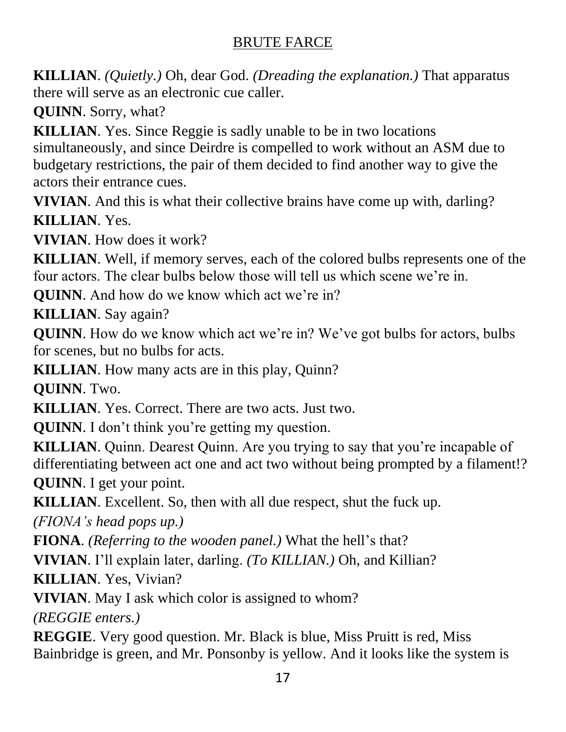**KILLIAN**. *(Quietly.)* Oh, dear God. *(Dreading the explanation.)* That apparatus there will serve as an electronic cue caller.

**QUINN**. Sorry, what?

**KILLIAN**. Yes. Since Reggie is sadly unable to be in two locations simultaneously, and since Deirdre is compelled to work without an ASM due to budgetary restrictions, the pair of them decided to find another way to give the actors their entrance cues.

**VIVIAN**. And this is what their collective brains have come up with, darling? **KILLIAN**. Yes.

**VIVIAN**. How does it work?

**KILLIAN**. Well, if memory serves, each of the colored bulbs represents one of the four actors. The clear bulbs below those will tell us which scene we're in.

**QUINN**. And how do we know which act we're in?

**KILLIAN**. Say again?

**QUINN**. How do we know which act we're in? We've got bulbs for actors, bulbs for scenes, but no bulbs for acts.

**KILLIAN**. How many acts are in this play, Quinn?

**QUINN**. Two.

**KILLIAN**. Yes. Correct. There are two acts. Just two.

**QUINN**. I don't think you're getting my question.

**KILLIAN**. Quinn. Dearest Quinn. Are you trying to say that you're incapable of differentiating between act one and act two without being prompted by a filament!? **QUINN**. I get your point.

**KILLIAN**. Excellent. So, then with all due respect, shut the fuck up.

*(FIONA's head pops up.)*

**FIONA**. *(Referring to the wooden panel.)* What the hell's that?

**VIVIAN**. I'll explain later, darling. *(To KILLIAN.)* Oh, and Killian?

**KILLIAN**. Yes, Vivian?

**VIVIAN**. May I ask which color is assigned to whom?

*(REGGIE enters.)*

**REGGIE**. Very good question. Mr. Black is blue, Miss Pruitt is red, Miss Bainbridge is green, and Mr. Ponsonby is yellow. And it looks like the system is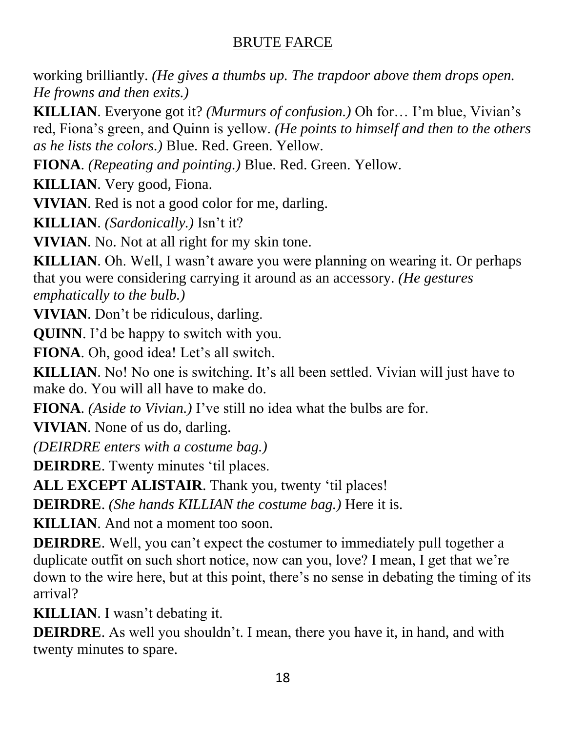working brilliantly. *(He gives a thumbs up. The trapdoor above them drops open. He frowns and then exits.)*

**KILLIAN**. Everyone got it? *(Murmurs of confusion.)* Oh for… I'm blue, Vivian's red, Fiona's green, and Quinn is yellow. *(He points to himself and then to the others as he lists the colors.)* Blue. Red. Green. Yellow.

**FIONA**. *(Repeating and pointing.)* Blue. Red. Green. Yellow.

**KILLIAN**. Very good, Fiona.

**VIVIAN**. Red is not a good color for me, darling.

**KILLIAN**. *(Sardonically.)* Isn't it?

**VIVIAN**. No. Not at all right for my skin tone.

**KILLIAN**. Oh. Well, I wasn't aware you were planning on wearing it. Or perhaps that you were considering carrying it around as an accessory. *(He gestures emphatically to the bulb.)*

**VIVIAN**. Don't be ridiculous, darling.

**QUINN**. I'd be happy to switch with you.

**FIONA**. Oh, good idea! Let's all switch.

**KILLIAN**. No! No one is switching. It's all been settled. Vivian will just have to make do. You will all have to make do.

**FIONA**. *(Aside to Vivian.)* I've still no idea what the bulbs are for.

**VIVIAN**. None of us do, darling.

*(DEIRDRE enters with a costume bag.)*

**DEIRDRE**. Twenty minutes 'til places.

**ALL EXCEPT ALISTAIR**. Thank you, twenty 'til places!

**DEIRDRE**. *(She hands KILLIAN the costume bag.)* Here it is.

**KILLIAN**. And not a moment too soon.

**DEIRDRE**. Well, you can't expect the costumer to immediately pull together a duplicate outfit on such short notice, now can you, love? I mean, I get that we're down to the wire here, but at this point, there's no sense in debating the timing of its arrival?

**KILLIAN**. I wasn't debating it.

**DEIRDRE**. As well you shouldn't. I mean, there you have it, in hand, and with twenty minutes to spare.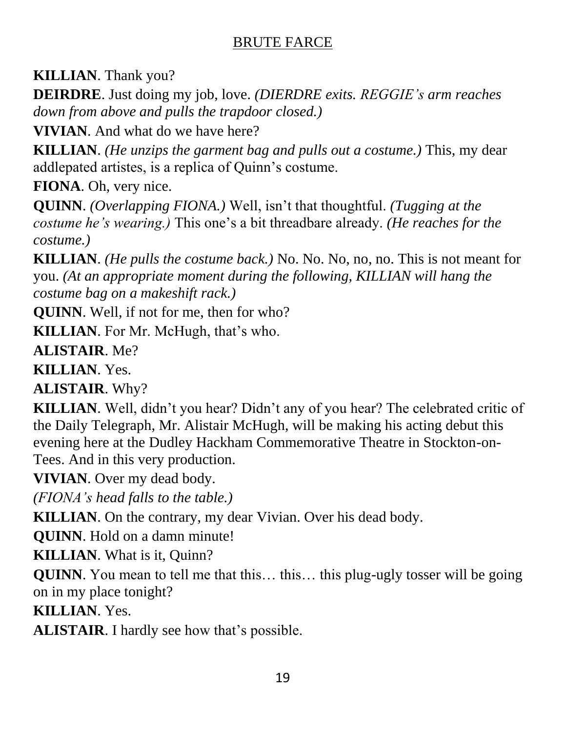**KILLIAN**. Thank you?

**DEIRDRE**. Just doing my job, love. *(DIERDRE exits. REGGIE's arm reaches down from above and pulls the trapdoor closed.)*

**VIVIAN**. And what do we have here?

**KILLIAN**. *(He unzips the garment bag and pulls out a costume.)* This, my dear addlepated artistes, is a replica of Quinn's costume.

**FIONA**. Oh, very nice.

**QUINN**. *(Overlapping FIONA.)* Well, isn't that thoughtful. *(Tugging at the costume he's wearing.)* This one's a bit threadbare already. *(He reaches for the costume.)*

**KILLIAN**. *(He pulls the costume back.)* No. No. No, no, no. This is not meant for you. *(At an appropriate moment during the following, KILLIAN will hang the costume bag on a makeshift rack.)*

**QUINN**. Well, if not for me, then for who?

**KILLIAN**. For Mr. McHugh, that's who.

**ALISTAIR**. Me?

**KILLIAN**. Yes.

**ALISTAIR**. Why?

**KILLIAN**. Well, didn't you hear? Didn't any of you hear? The celebrated critic of the Daily Telegraph, Mr. Alistair McHugh, will be making his acting debut this evening here at the Dudley Hackham Commemorative Theatre in Stockton-on-Tees. And in this very production.

**VIVIAN**. Over my dead body.

*(FIONA's head falls to the table.)*

**KILLIAN**. On the contrary, my dear Vivian. Over his dead body.

**QUINN**. Hold on a damn minute!

**KILLIAN**. What is it, Quinn?

**QUINN**. You mean to tell me that this... this... this plug-ugly tosser will be going on in my place tonight?

**KILLIAN**. Yes.

**ALISTAIR**. I hardly see how that's possible.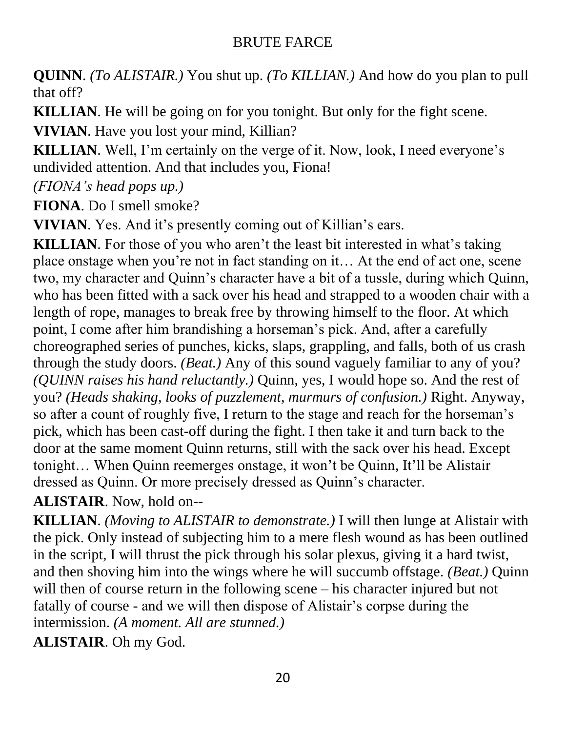**QUINN**. *(To ALISTAIR.)* You shut up. *(To KILLIAN.)* And how do you plan to pull that off?

**KILLIAN**. He will be going on for you tonight. But only for the fight scene.

**VIVIAN**. Have you lost your mind, Killian?

**KILLIAN**. Well, I'm certainly on the verge of it. Now, look, I need everyone's undivided attention. And that includes you, Fiona!

*(FIONA's head pops up.)*

**FIONA**. Do I smell smoke?

**VIVIAN**. Yes. And it's presently coming out of Killian's ears.

**KILLIAN**. For those of you who aren't the least bit interested in what's taking place onstage when you're not in fact standing on it… At the end of act one, scene two, my character and Quinn's character have a bit of a tussle, during which Quinn, who has been fitted with a sack over his head and strapped to a wooden chair with a length of rope, manages to break free by throwing himself to the floor. At which point, I come after him brandishing a horseman's pick. And, after a carefully choreographed series of punches, kicks, slaps, grappling, and falls, both of us crash through the study doors. *(Beat.)* Any of this sound vaguely familiar to any of you? *(QUINN raises his hand reluctantly.)* Quinn, yes, I would hope so. And the rest of you? *(Heads shaking, looks of puzzlement, murmurs of confusion.)* Right. Anyway, so after a count of roughly five, I return to the stage and reach for the horseman's pick, which has been cast-off during the fight. I then take it and turn back to the door at the same moment Quinn returns, still with the sack over his head. Except tonight… When Quinn reemerges onstage, it won't be Quinn, It'll be Alistair dressed as Quinn. Or more precisely dressed as Quinn's character.

**ALISTAIR**. Now, hold on--

**KILLIAN**. *(Moving to ALISTAIR to demonstrate.)* I will then lunge at Alistair with the pick. Only instead of subjecting him to a mere flesh wound as has been outlined in the script, I will thrust the pick through his solar plexus, giving it a hard twist, and then shoving him into the wings where he will succumb offstage. *(Beat.)* Quinn will then of course return in the following scene – his character injured but not fatally of course - and we will then dispose of Alistair's corpse during the intermission. *(A moment. All are stunned.)*

**ALISTAIR**. Oh my God.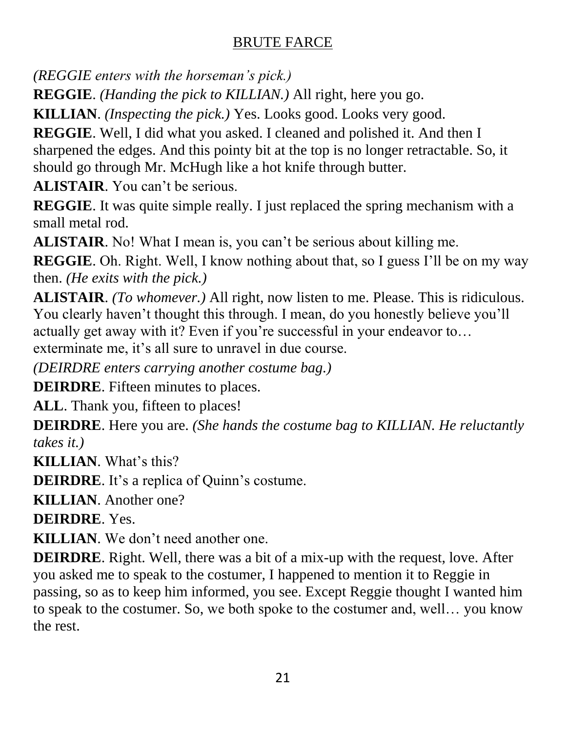*(REGGIE enters with the horseman's pick.)*

**REGGIE**. *(Handing the pick to KILLIAN.)* All right, here you go.

**KILLIAN**. *(Inspecting the pick.)* Yes. Looks good. Looks very good.

**REGGIE**. Well, I did what you asked. I cleaned and polished it. And then I sharpened the edges. And this pointy bit at the top is no longer retractable. So, it should go through Mr. McHugh like a hot knife through butter.

**ALISTAIR**. You can't be serious.

**REGGIE**. It was quite simple really. I just replaced the spring mechanism with a small metal rod.

**ALISTAIR**. No! What I mean is, you can't be serious about killing me.

**REGGIE**. Oh. Right. Well, I know nothing about that, so I guess I'll be on my way then. *(He exits with the pick.)*

**ALISTAIR**. *(To whomever.)* All right, now listen to me. Please. This is ridiculous. You clearly haven't thought this through. I mean, do you honestly believe you'll actually get away with it? Even if you're successful in your endeavor to…

exterminate me, it's all sure to unravel in due course.

*(DEIRDRE enters carrying another costume bag.)*

**DEIRDRE**. Fifteen minutes to places.

ALL. Thank you, fifteen to places!

**DEIRDRE**. Here you are. *(She hands the costume bag to KILLIAN. He reluctantly takes it.)*

**KILLIAN**. What's this?

**DEIRDRE**. It's a replica of Quinn's costume.

**KILLIAN**. Another one?

**DEIRDRE**. Yes.

**KILLIAN**. We don't need another one.

**DEIRDRE**. Right. Well, there was a bit of a mix-up with the request, love. After you asked me to speak to the costumer, I happened to mention it to Reggie in passing, so as to keep him informed, you see. Except Reggie thought I wanted him to speak to the costumer. So, we both spoke to the costumer and, well… you know the rest.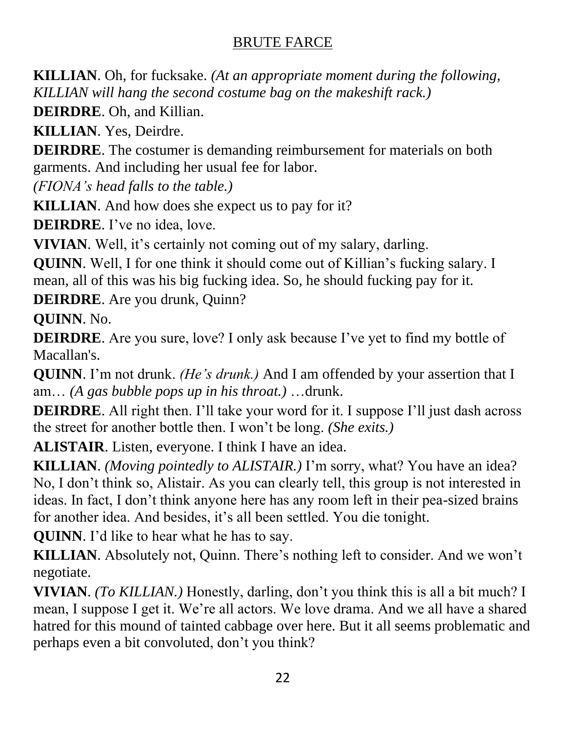**KILLIAN**. Oh, for fucksake. *(At an appropriate moment during the following, KILLIAN will hang the second costume bag on the makeshift rack.)*

**DEIRDRE**. Oh, and Killian.

**KILLIAN**. Yes, Deirdre.

**DEIRDRE**. The costumer is demanding reimbursement for materials on both garments. And including her usual fee for labor.

*(FIONA's head falls to the table.)*

**KILLIAN**. And how does she expect us to pay for it?

**DEIRDRE**. I've no idea, love.

**VIVIAN**. Well, it's certainly not coming out of my salary, darling.

**QUINN**. Well, I for one think it should come out of Killian's fucking salary. I mean, all of this was his big fucking idea. So, he should fucking pay for it.

**DEIRDRE**. Are you drunk, Quinn?

**QUINN**. No.

**DEIRDRE**. Are you sure, love? I only ask because I've yet to find my bottle of Macallan's.

**QUINN**. I'm not drunk. *(He's drunk.)* And I am offended by your assertion that I am… *(A gas bubble pops up in his throat.)* …drunk.

**DEIRDRE**. All right then. I'll take your word for it. I suppose I'll just dash across the street for another bottle then. I won't be long. *(She exits.)*

**ALISTAIR**. Listen, everyone. I think I have an idea.

**KILLIAN**. *(Moving pointedly to ALISTAIR.)* I'm sorry, what? You have an idea? No, I don't think so, Alistair. As you can clearly tell, this group is not interested in ideas. In fact, I don't think anyone here has any room left in their pea-sized brains for another idea. And besides, it's all been settled. You die tonight.

**QUINN**. I'd like to hear what he has to say.

**KILLIAN**. Absolutely not, Quinn. There's nothing left to consider. And we won't negotiate.

**VIVIAN**. *(To KILLIAN.)* Honestly, darling, don't you think this is all a bit much? I mean, I suppose I get it. We're all actors. We love drama. And we all have a shared hatred for this mound of tainted cabbage over here. But it all seems problematic and perhaps even a bit convoluted, don't you think?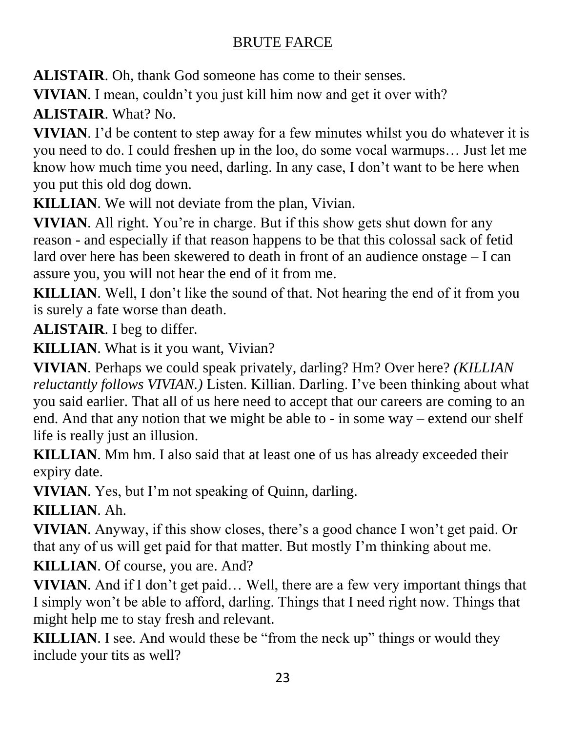**ALISTAIR**. Oh, thank God someone has come to their senses.

**VIVIAN**. I mean, couldn't you just kill him now and get it over with? **ALISTAIR**. What? No.

**VIVIAN**. I'd be content to step away for a few minutes whilst you do whatever it is you need to do. I could freshen up in the loo, do some vocal warmups… Just let me know how much time you need, darling. In any case, I don't want to be here when you put this old dog down.

**KILLIAN**. We will not deviate from the plan, Vivian.

**VIVIAN.** All right. You're in charge. But if this show gets shut down for any reason - and especially if that reason happens to be that this colossal sack of fetid lard over here has been skewered to death in front of an audience onstage – I can assure you, you will not hear the end of it from me.

**KILLIAN**. Well, I don't like the sound of that. Not hearing the end of it from you is surely a fate worse than death.

**ALISTAIR**. I beg to differ.

**KILLIAN**. What is it you want, Vivian?

**VIVIAN**. Perhaps we could speak privately, darling? Hm? Over here? *(KILLIAN reluctantly follows VIVIAN.)* Listen. Killian. Darling. I've been thinking about what you said earlier. That all of us here need to accept that our careers are coming to an end. And that any notion that we might be able to - in some way – extend our shelf life is really just an illusion.

**KILLIAN**. Mm hm. I also said that at least one of us has already exceeded their expiry date.

**VIVIAN**. Yes, but I'm not speaking of Quinn, darling.

**KILLIAN**. Ah.

**VIVIAN**. Anyway, if this show closes, there's a good chance I won't get paid. Or that any of us will get paid for that matter. But mostly I'm thinking about me.

**KILLIAN**. Of course, you are. And?

**VIVIAN**. And if I don't get paid… Well, there are a few very important things that I simply won't be able to afford, darling. Things that I need right now. Things that might help me to stay fresh and relevant.

**KILLIAN**. I see. And would these be "from the neck up" things or would they include your tits as well?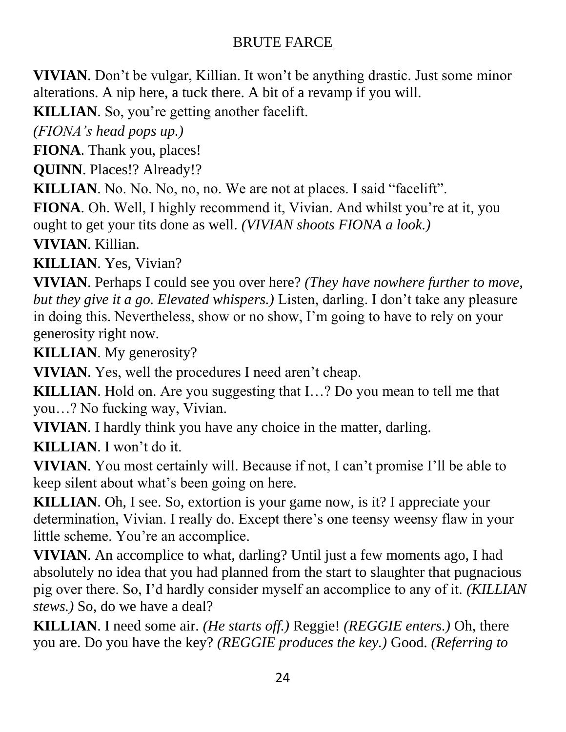**VIVIAN**. Don't be vulgar, Killian. It won't be anything drastic. Just some minor alterations. A nip here, a tuck there. A bit of a revamp if you will.

**KILLIAN**. So, you're getting another facelift.

*(FIONA's head pops up.)*

**FIONA**. Thank you, places!

**QUINN**. Places!? Already!?

**KILLIAN**. No. No. No, no, no. We are not at places. I said "facelift".

**FIONA**. Oh. Well, I highly recommend it, Vivian. And whilst you're at it, you ought to get your tits done as well. *(VIVIAN shoots FIONA a look.)*

**VIVIAN**. Killian.

**KILLIAN**. Yes, Vivian?

**VIVIAN**. Perhaps I could see you over here? *(They have nowhere further to move, but they give it a go. Elevated whispers.)* Listen, darling. I don't take any pleasure in doing this. Nevertheless, show or no show, I'm going to have to rely on your generosity right now.

**KILLIAN**. My generosity?

**VIVIAN**. Yes, well the procedures I need aren't cheap.

**KILLIAN**. Hold on. Are you suggesting that I…? Do you mean to tell me that you…? No fucking way, Vivian.

**VIVIAN**. I hardly think you have any choice in the matter, darling.

**KILLIAN**. I won't do it.

**VIVIAN**. You most certainly will. Because if not, I can't promise I'll be able to keep silent about what's been going on here.

**KILLIAN**. Oh, I see. So, extortion is your game now, is it? I appreciate your determination, Vivian. I really do. Except there's one teensy weensy flaw in your little scheme. You're an accomplice.

**VIVIAN**. An accomplice to what, darling? Until just a few moments ago, I had absolutely no idea that you had planned from the start to slaughter that pugnacious pig over there. So, I'd hardly consider myself an accomplice to any of it. *(KILLIAN stews.)* So, do we have a deal?

**KILLIAN**. I need some air. *(He starts off.)* Reggie! *(REGGIE enters.)* Oh, there you are. Do you have the key? *(REGGIE produces the key.)* Good. *(Referring to*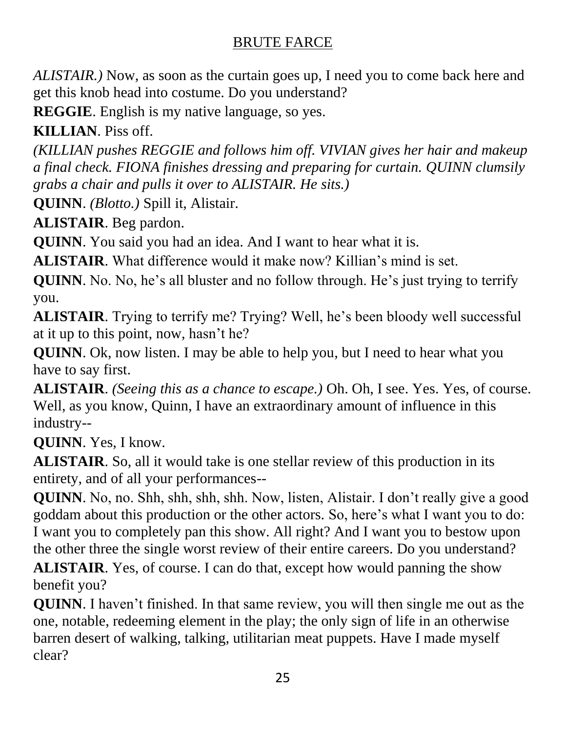*ALISTAIR.)* Now, as soon as the curtain goes up, I need you to come back here and get this knob head into costume. Do you understand?

**REGGIE**. English is my native language, so yes.

**KILLIAN**. Piss off.

*(KILLIAN pushes REGGIE and follows him off. VIVIAN gives her hair and makeup a final check. FIONA finishes dressing and preparing for curtain. QUINN clumsily grabs a chair and pulls it over to ALISTAIR. He sits.)*

**QUINN**. *(Blotto.)* Spill it, Alistair.

**ALISTAIR**. Beg pardon.

**QUINN**. You said you had an idea. And I want to hear what it is.

**ALISTAIR**. What difference would it make now? Killian's mind is set.

**QUINN**. No. No, he's all bluster and no follow through. He's just trying to terrify you.

**ALISTAIR**. Trying to terrify me? Trying? Well, he's been bloody well successful at it up to this point, now, hasn't he?

**QUINN**. Ok, now listen. I may be able to help you, but I need to hear what you have to say first.

**ALISTAIR**. *(Seeing this as a chance to escape.)* Oh. Oh, I see. Yes. Yes, of course. Well, as you know, Quinn, I have an extraordinary amount of influence in this industry--

**QUINN**. Yes, I know.

**ALISTAIR**. So, all it would take is one stellar review of this production in its entirety, and of all your performances--

**QUINN**. No, no. Shh, shh, shh, shh. Now, listen, Alistair. I don't really give a good goddam about this production or the other actors. So, here's what I want you to do: I want you to completely pan this show. All right? And I want you to bestow upon the other three the single worst review of their entire careers. Do you understand?

**ALISTAIR**. Yes, of course. I can do that, except how would panning the show benefit you?

**QUINN**. I haven't finished. In that same review, you will then single me out as the one, notable, redeeming element in the play; the only sign of life in an otherwise barren desert of walking, talking, utilitarian meat puppets. Have I made myself clear?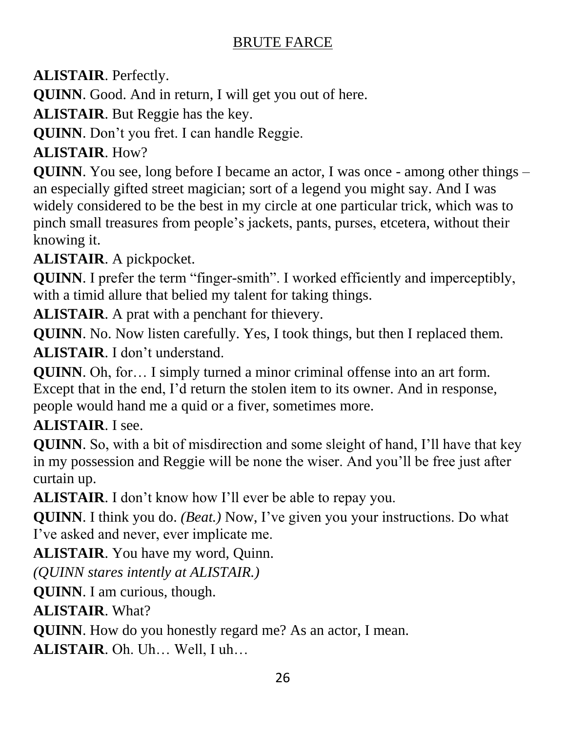**ALISTAIR**. Perfectly.

**QUINN**. Good. And in return, I will get you out of here.

**ALISTAIR**. But Reggie has the key.

**QUINN**. Don't you fret. I can handle Reggie.

# **ALISTAIR**. How?

**QUINN**. You see, long before I became an actor, I was once - among other things – an especially gifted street magician; sort of a legend you might say. And I was widely considered to be the best in my circle at one particular trick, which was to pinch small treasures from people's jackets, pants, purses, etcetera, without their knowing it.

**ALISTAIR**. A pickpocket.

**QUINN**. I prefer the term "finger-smith". I worked efficiently and imperceptibly, with a timid allure that belied my talent for taking things.

**ALISTAIR**. A prat with a penchant for thievery.

**QUINN**. No. Now listen carefully. Yes, I took things, but then I replaced them. **ALISTAIR**. I don't understand.

**QUINN**. Oh, for… I simply turned a minor criminal offense into an art form. Except that in the end, I'd return the stolen item to its owner. And in response, people would hand me a quid or a fiver, sometimes more.

**ALISTAIR**. I see.

**QUINN**. So, with a bit of misdirection and some sleight of hand, I'll have that key in my possession and Reggie will be none the wiser. And you'll be free just after curtain up.

**ALISTAIR**. I don't know how I'll ever be able to repay you.

**QUINN**. I think you do. *(Beat.)* Now, I've given you your instructions. Do what I've asked and never, ever implicate me.

**ALISTAIR**. You have my word, Quinn.

*(QUINN stares intently at ALISTAIR.)*

**QUINN**. I am curious, though.

**ALISTAIR**. What?

**QUINN**. How do you honestly regard me? As an actor, I mean.

**ALISTAIR**. Oh. Uh… Well, I uh…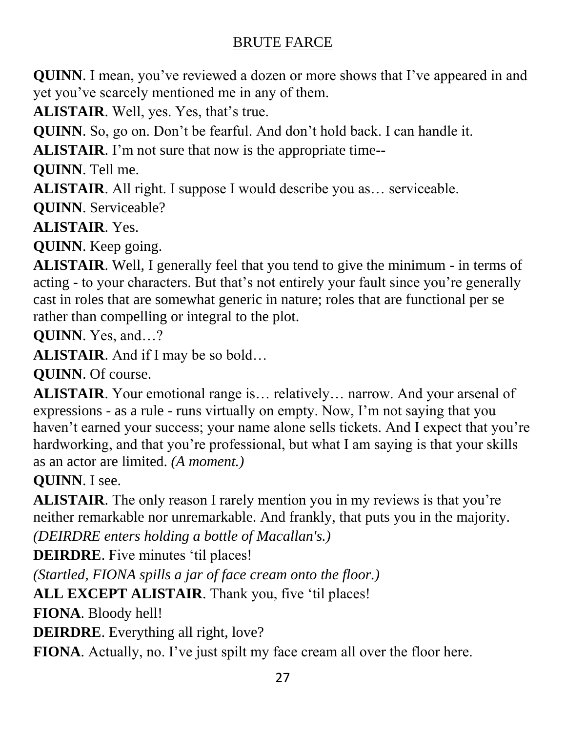**QUINN**. I mean, you've reviewed a dozen or more shows that I've appeared in and yet you've scarcely mentioned me in any of them.

**ALISTAIR**. Well, yes. Yes, that's true.

**QUINN**. So, go on. Don't be fearful. And don't hold back. I can handle it.

**ALISTAIR**. I'm not sure that now is the appropriate time--

**QUINN**. Tell me.

**ALISTAIR**. All right. I suppose I would describe you as… serviceable.

**QUINN**. Serviceable?

**ALISTAIR**. Yes.

**QUINN**. Keep going.

**ALISTAIR**. Well, I generally feel that you tend to give the minimum - in terms of acting - to your characters. But that's not entirely your fault since you're generally cast in roles that are somewhat generic in nature; roles that are functional per se rather than compelling or integral to the plot.

**QUINN**. Yes, and…?

**ALISTAIR**. And if I may be so bold…

**QUINN**. Of course.

**ALISTAIR**. Your emotional range is… relatively… narrow. And your arsenal of expressions - as a rule - runs virtually on empty. Now, I'm not saying that you haven't earned your success; your name alone sells tickets. And I expect that you're hardworking, and that you're professional, but what I am saying is that your skills as an actor are limited. *(A moment.)*

**QUINN**. I see.

**ALISTAIR**. The only reason I rarely mention you in my reviews is that you're neither remarkable nor unremarkable. And frankly, that puts you in the majority. *(DEIRDRE enters holding a bottle of Macallan's.)* 

**DEIRDRE**. Five minutes 'til places!

*(Startled, FIONA spills a jar of face cream onto the floor.)*

**ALL EXCEPT ALISTAIR**. Thank you, five 'til places!

**FIONA**. Bloody hell!

**DEIRDRE**. Everything all right, love?

**FIONA**. Actually, no. I've just spilt my face cream all over the floor here.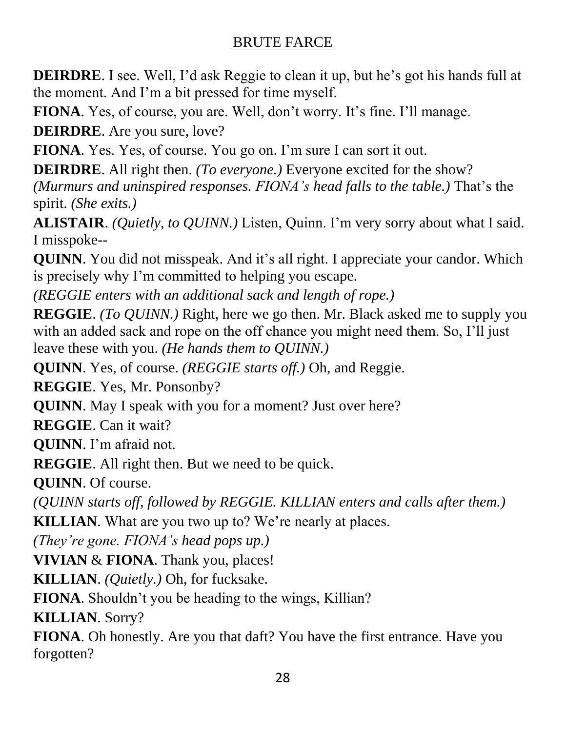**DEIRDRE**. I see. Well, I'd ask Reggie to clean it up, but he's got his hands full at the moment. And I'm a bit pressed for time myself.

**FIONA**. Yes, of course, you are. Well, don't worry. It's fine. I'll manage.

**DEIRDRE**. Are you sure, love?

**FIONA**. Yes. Yes, of course. You go on. I'm sure I can sort it out.

**DEIRDRE**. All right then. *(To everyone.)* Everyone excited for the show? *(Murmurs and uninspired responses. FIONA's head falls to the table.)* That's the spirit. *(She exits.)*

**ALISTAIR**. *(Quietly, to QUINN.)* Listen, Quinn. I'm very sorry about what I said. I misspoke--

**QUINN**. You did not misspeak. And it's all right. I appreciate your candor. Which is precisely why I'm committed to helping you escape.

*(REGGIE enters with an additional sack and length of rope.)*

**REGGIE**. *(To QUINN.)* Right, here we go then. Mr. Black asked me to supply you with an added sack and rope on the off chance you might need them. So, I'll just leave these with you. *(He hands them to QUINN.)*

**QUINN**. Yes, of course. *(REGGIE starts off.)* Oh, and Reggie.

**REGGIE**. Yes, Mr. Ponsonby?

**QUINN**. May I speak with you for a moment? Just over here?

**REGGIE**. Can it wait?

**QUINN**. I'm afraid not.

**REGGIE**. All right then. But we need to be quick.

**QUINN**. Of course.

*(QUINN starts off, followed by REGGIE. KILLIAN enters and calls after them.)* **KILLIAN**. What are you two up to? We're nearly at places.

*(They're gone. FIONA's head pops up.)*

**VIVIAN** & **FIONA**. Thank you, places!

**KILLIAN**. *(Quietly.)* Oh, for fucksake.

**FIONA**. Shouldn't you be heading to the wings, Killian?

**KILLIAN**. Sorry?

**FIONA**. Oh honestly. Are you that daft? You have the first entrance. Have you forgotten?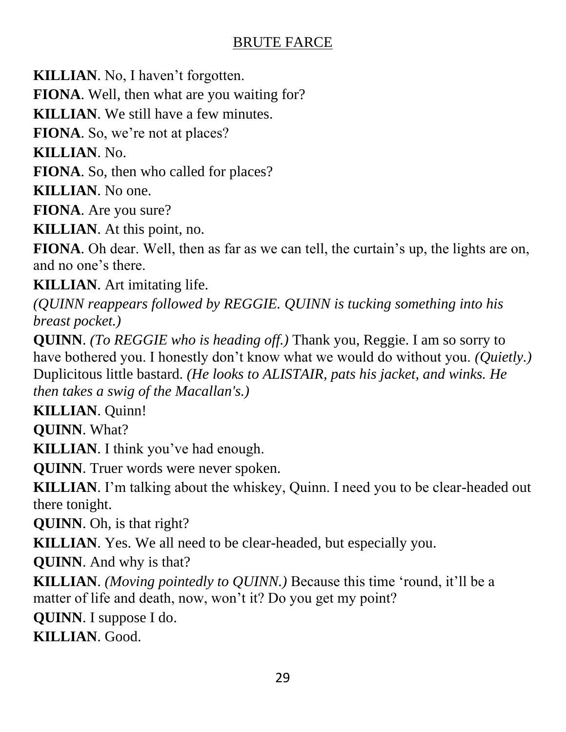**KILLIAN**. No, I haven't forgotten.

**FIONA**. Well, then what are you waiting for?

**KILLIAN**. We still have a few minutes.

**FIONA**. So, we're not at places?

**KILLIAN**. No.

**FIONA**. So, then who called for places?

**KILLIAN**. No one.

**FIONA**. Are you sure?

**KILLIAN**. At this point, no.

**FIONA**. Oh dear. Well, then as far as we can tell, the curtain's up, the lights are on, and no one's there.

**KILLIAN**. Art imitating life.

*(QUINN reappears followed by REGGIE. QUINN is tucking something into his breast pocket.)*

**QUINN**. *(To REGGIE who is heading off.)* Thank you, Reggie. I am so sorry to have bothered you. I honestly don't know what we would do without you. *(Quietly.)* Duplicitous little bastard. *(He looks to ALISTAIR, pats his jacket, and winks. He then takes a swig of the Macallan's.)*

**KILLIAN**. Quinn!

**QUINN**. What?

**KILLIAN**. I think you've had enough.

**QUINN**. Truer words were never spoken.

**KILLIAN**. I'm talking about the whiskey, Quinn. I need you to be clear-headed out there tonight.

**QUINN**. Oh, is that right?

**KILLIAN**. Yes. We all need to be clear-headed, but especially you.

**QUINN**. And why is that?

**KILLIAN**. *(Moving pointedly to QUINN.)* Because this time 'round, it'll be a matter of life and death, now, won't it? Do you get my point?

**QUINN**. I suppose I do.

**KILLIAN**. Good.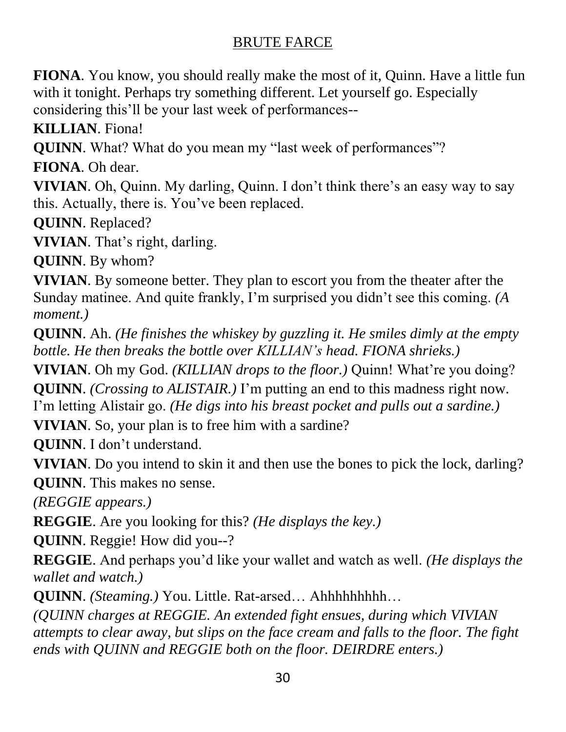**FIONA**. You know, you should really make the most of it, Quinn. Have a little fun with it tonight. Perhaps try something different. Let yourself go. Especially considering this'll be your last week of performances--

**KILLIAN**. Fiona!

**QUINN**. What? What do you mean my "last week of performances"?

**FIONA**. Oh dear.

**VIVIAN**. Oh, Quinn. My darling, Quinn. I don't think there's an easy way to say this. Actually, there is. You've been replaced.

**QUINN**. Replaced?

**VIVIAN**. That's right, darling.

**QUINN**. By whom?

**VIVIAN**. By someone better. They plan to escort you from the theater after the Sunday matinee. And quite frankly, I'm surprised you didn't see this coming. *(A moment.)*

**QUINN**. Ah. *(He finishes the whiskey by guzzling it. He smiles dimly at the empty bottle. He then breaks the bottle over KILLIAN's head. FIONA shrieks.)*

**VIVIAN**. Oh my God. *(KILLIAN drops to the floor.)* Quinn! What're you doing? **QUINN**. *(Crossing to ALISTAIR.)* I'm putting an end to this madness right now.

I'm letting Alistair go. *(He digs into his breast pocket and pulls out a sardine.)*

**VIVIAN**. So, your plan is to free him with a sardine?

**QUINN**. I don't understand.

**VIVIAN**. Do you intend to skin it and then use the bones to pick the lock, darling? **QUINN**. This makes no sense.

*(REGGIE appears.)*

**REGGIE**. Are you looking for this? *(He displays the key.)*

**QUINN**. Reggie! How did you--?

**REGGIE**. And perhaps you'd like your wallet and watch as well. *(He displays the wallet and watch.)*

**QUINN**. *(Steaming.)* You. Little. Rat-arsed… Ahhhhhhhhh…

*(QUINN charges at REGGIE. An extended fight ensues, during which VIVIAN attempts to clear away, but slips on the face cream and falls to the floor. The fight ends with QUINN and REGGIE both on the floor. DEIRDRE enters.)*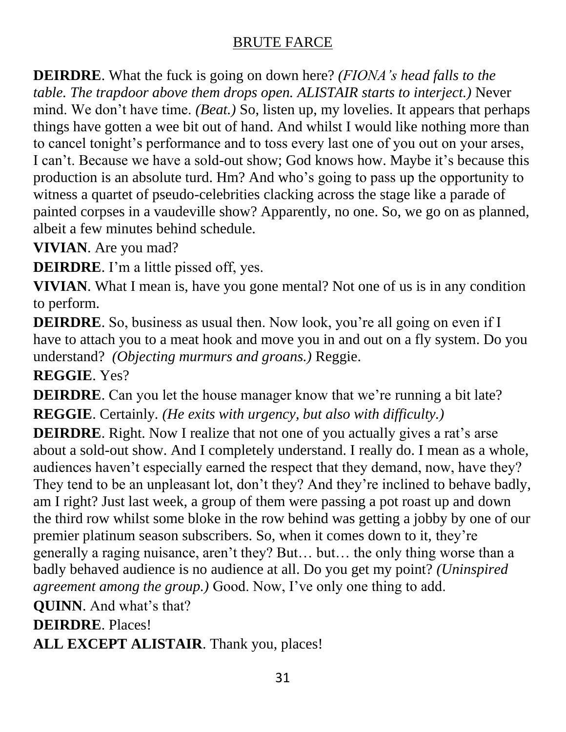**DEIRDRE**. What the fuck is going on down here? *(FIONA's head falls to the table. The trapdoor above them drops open. ALISTAIR starts to interject.)* Never mind. We don't have time. *(Beat.)* So, listen up, my lovelies. It appears that perhaps things have gotten a wee bit out of hand. And whilst I would like nothing more than to cancel tonight's performance and to toss every last one of you out on your arses, I can't. Because we have a sold-out show; God knows how. Maybe it's because this production is an absolute turd. Hm? And who's going to pass up the opportunity to witness a quartet of pseudo-celebrities clacking across the stage like a parade of painted corpses in a vaudeville show? Apparently, no one. So, we go on as planned, albeit a few minutes behind schedule.

**VIVIAN**. Are you mad?

**DEIRDRE**. I'm a little pissed off, yes.

**VIVIAN**. What I mean is, have you gone mental? Not one of us is in any condition to perform.

**DEIRDRE**. So, business as usual then. Now look, you're all going on even if I have to attach you to a meat hook and move you in and out on a fly system. Do you understand? *(Objecting murmurs and groans.)* Reggie.

**REGGIE**. Yes?

**DEIRDRE**. Can you let the house manager know that we're running a bit late? **REGGIE**. Certainly*. (He exits with urgency, but also with difficulty.)*

**DEIRDRE**. Right. Now I realize that not one of you actually gives a rat's arse about a sold-out show. And I completely understand. I really do. I mean as a whole, audiences haven't especially earned the respect that they demand, now, have they? They tend to be an unpleasant lot, don't they? And they're inclined to behave badly, am I right? Just last week, a group of them were passing a pot roast up and down the third row whilst some bloke in the row behind was getting a jobby by one of our premier platinum season subscribers. So, when it comes down to it, they're generally a raging nuisance, aren't they? But… but… the only thing worse than a badly behaved audience is no audience at all. Do you get my point? *(Uninspired agreement among the group.)* Good. Now, I've only one thing to add.

**QUINN**. And what's that?

**DEIRDRE**. Places!

**ALL EXCEPT ALISTAIR**. Thank you, places!